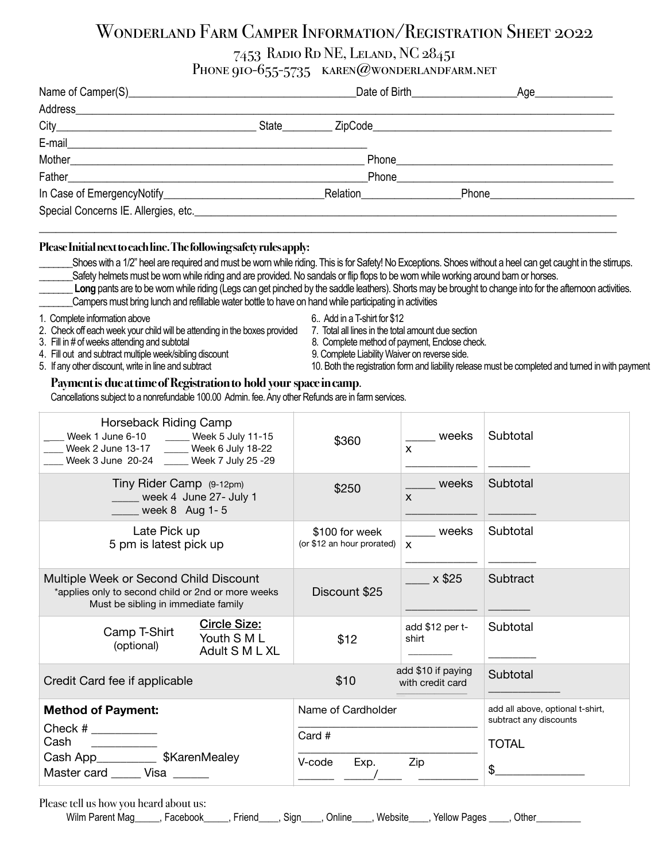# Wonderland Farm Camper Information/Registration Sheet 2022

## 7453 Radio Rd NE, Leland, NC 28451

## Phone 910-655-5735 KAREN@WONDERLANDFARM.NET

|                                                                                                                         |             | Date of Birth <b>Exercise 20</b> | Age________________  |  |  |
|-------------------------------------------------------------------------------------------------------------------------|-------------|----------------------------------|----------------------|--|--|
| Address                                                                                                                 |             |                                  |                      |  |  |
|                                                                                                                         | State       |                                  |                      |  |  |
| E-mail                                                                                                                  |             |                                  |                      |  |  |
|                                                                                                                         | Phone Phone |                                  |                      |  |  |
|                                                                                                                         | Phone       |                                  |                      |  |  |
|                                                                                                                         |             | Relation <u>example</u>          | Phone_______________ |  |  |
| Special Concerns IE. Allergies, etc. <b>Example 2018</b> and 2019 and 2019 and 2019 and 2019 and 2019 and 2019 and 2019 |             |                                  |                      |  |  |
|                                                                                                                         |             |                                  |                      |  |  |

#### **Please Initial next to each line. The following safety rules apply:**

- Shoes with a 1/2" heel are required and must be worn while riding. This is for Safety! No Exceptions. Shoes without a heel can get caught in the stirrups. Safety helmets must be worn while riding and are provided. No sandals or flip flops to be worn while working around barn or horses.
- Long pants are to be wom while riding (Legs can get pinched by the saddle leathers). Shorts may be brought to change into for the afternoon activities.
- \_\_\_\_\_\_\_Campers must bring lunch and refillable water bottle to have on hand while participating in activities
- 
- 2. Check off each week your child will be attending in the boxes provided 7. Total all lines in the total amount due section<br>3. Fill in # of weeks attending and subtotal 8. Complete method of payment, Enclose chec
- 
- 4. Fill out and subtract multiple week/sibling discount 9. Complete Liability Waiver on reverse side.
- 
- 1. Complete information above 6.. Add in a T-shirt for \$12
	-
	- 8. Complete method of payment, Enclose check.
	-
- 5. If any other discount, write in line and subtract 10. Both the registration form and liability release must be completed and turned in with payment

### **Payment is due at time of Registration to hold your space in camp**.

Cancellations subject to a nonrefundable 100.00 Admin. fee. Any other Refunds are in farm services.

| Horseback Riding Camp<br>Week 1 June 6-10 _____ Week 5 July 11-15<br>Week 2 June 13-17 _____ Week 6 July 18-22<br>Week 3 June 20-24 ____ Week 7 July 25 -29 | \$360                                          | weeks<br>$\boldsymbol{\mathsf{x}}$ | Subtotal                                                   |
|-------------------------------------------------------------------------------------------------------------------------------------------------------------|------------------------------------------------|------------------------------------|------------------------------------------------------------|
| Tiny Rider Camp (9-12pm)<br>week 4 June 27- July 1<br>week $8$ Aug 1-5                                                                                      | \$250                                          | weeks<br>$\mathsf{x}$              | Subtotal                                                   |
| Late Pick up<br>5 pm is latest pick up                                                                                                                      | \$100 for week<br>(or \$12 an hour prorated)   | weeks<br>$\mathsf{x}$              | Subtotal                                                   |
| Multiple Week or Second Child Discount<br>*applies only to second child or 2nd or more weeks<br>Must be sibling in immediate family                         | Discount \$25                                  | x \$25                             | Subtract                                                   |
| <b>Circle Size:</b><br>Camp T-Shirt<br>Youth S M L<br>(optional)<br>Adult S M L XL                                                                          | \$12                                           | add \$12 per t-<br>shirt           | Subtotal                                                   |
| Credit Card fee if applicable                                                                                                                               | add \$10 if paying<br>\$10<br>with credit card |                                    | Subtotal                                                   |
| <b>Method of Payment:</b>                                                                                                                                   | Name of Cardholder                             |                                    | add all above, optional t-shirt,<br>subtract any discounts |
| Cash<br>Cash App______________ \$KarenMealey                                                                                                                | Card $#$                                       |                                    | <b>TOTAL</b>                                               |
| Master card Visa                                                                                                                                            | V-code<br>Exp.                                 | Zip                                | \$                                                         |

Please tell us how you heard about us:

Wilm Parent Mag diverse Cacebook diversion of Sign diversion Website and Pellow Pages diversion of the results